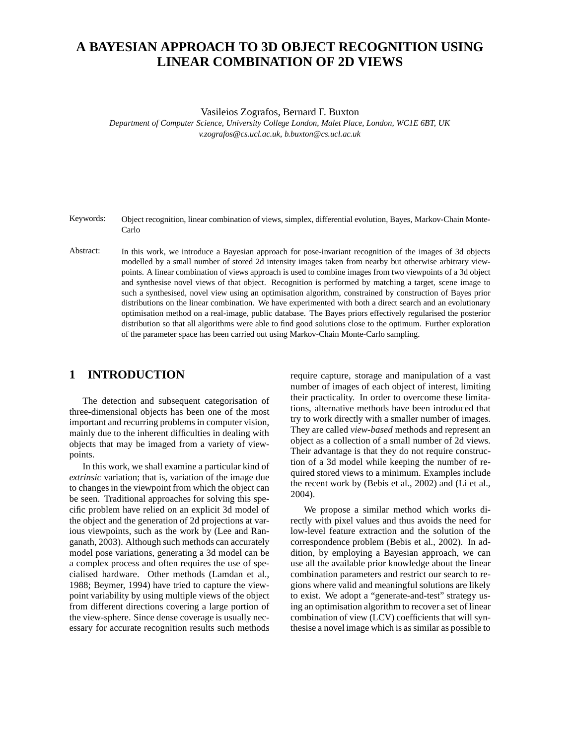# **A BAYESIAN APPROACH TO 3D OBJECT RECOGNITION USING LINEAR COMBINATION OF 2D VIEWS**

Vasileios Zografos, Bernard F. Buxton

*Department of Computer Science, University College London, Malet Place, London, WC1E 6BT, UK v.zografos@cs.ucl.ac.uk, b.buxton@cs.ucl.ac.uk*

- Keywords: Object recognition, linear combination of views, simplex, differential evolution, Bayes, Markov-Chain Monte-Carlo
- Abstract: In this work, we introduce a Bayesian approach for pose-invariant recognition of the images of 3d objects modelled by a small number of stored 2d intensity images taken from nearby but otherwise arbitrary viewpoints. A linear combination of views approach is used to combine images from two viewpoints of a 3d object and synthesise novel views of that object. Recognition is performed by matching a target, scene image to such a synthesised, novel view using an optimisation algorithm, constrained by construction of Bayes prior distributions on the linear combination. We have experimented with both a direct search and an evolutionary optimisation method on a real-image, public database. The Bayes priors effectively regularised the posterior distribution so that all algorithms were able to find good solutions close to the optimum. Further exploration of the parameter space has been carried out using Markov-Chain Monte-Carlo sampling.

## **1 INTRODUCTION**

The detection and subsequent categorisation of three-dimensional objects has been one of the most important and recurring problems in computer vision, mainly due to the inherent difficulties in dealing with objects that may be imaged from a variety of viewpoints.

In this work, we shall examine a particular kind of *extrinsic* variation; that is, variation of the image due to changes in the viewpoint from which the object can be seen. Traditional approaches for solving this specific problem have relied on an explicit 3d model of the object and the generation of 2d projections at various viewpoints, such as the work by (Lee and Ranganath, 2003). Although such methods can accurately model pose variations, generating a 3d model can be a complex process and often requires the use of specialised hardware. Other methods (Lamdan et al., 1988; Beymer, 1994) have tried to capture the viewpoint variability by using multiple views of the object from different directions covering a large portion of the view-sphere. Since dense coverage is usually necessary for accurate recognition results such methods

require capture, storage and manipulation of a vast number of images of each object of interest, limiting their practicality. In order to overcome these limitations, alternative methods have been introduced that try to work directly with a smaller number of images. They are called *view-based* methods and represent an object as a collection of a small number of 2d views. Their advantage is that they do not require construction of a 3d model while keeping the number of required stored views to a minimum. Examples include the recent work by (Bebis et al., 2002) and (Li et al., 2004).

We propose a similar method which works directly with pixel values and thus avoids the need for low-level feature extraction and the solution of the correspondence problem (Bebis et al., 2002). In addition, by employing a Bayesian approach, we can use all the available prior knowledge about the linear combination parameters and restrict our search to regions where valid and meaningful solutions are likely to exist. We adopt a "generate-and-test" strategy using an optimisation algorithm to recover a set of linear combination of view (LCV) coefficients that will synthesise a novel image which is as similar as possible to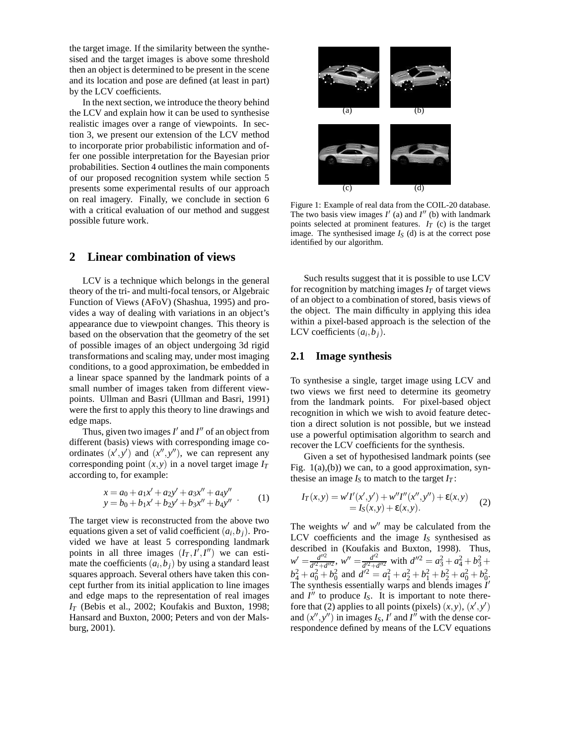the target image. If the similarity between the synthesised and the target images is above some threshold then an object is determined to be present in the scene and its location and pose are defined (at least in part) by the LCV coefficients.

In the next section, we introduce the theory behind the LCV and explain how it can be used to synthesise realistic images over a range of viewpoints. In section 3, we present our extension of the LCV method to incorporate prior probabilistic information and offer one possible interpretation for the Bayesian prior probabilities. Section 4 outlines the main components of our proposed recognition system while section 5 presents some experimental results of our approach on real imagery. Finally, we conclude in section 6 with a critical evaluation of our method and suggest possible future work.

### **2 Linear combination of views**

LCV is a technique which belongs in the general theory of the tri- and multi-focal tensors, or Algebraic Function of Views (AFoV) (Shashua, 1995) and provides a way of dealing with variations in an object's appearance due to viewpoint changes. This theory is based on the observation that the geometry of the set of possible images of an object undergoing 3d rigid transformations and scaling may, under most imaging conditions, to a good approximation, be embedded in a linear space spanned by the landmark points of a small number of images taken from different viewpoints. Ullman and Basri (Ullman and Basri, 1991) were the first to apply this theory to line drawings and edge maps.

Thus, given two images  $I'$  and  $I''$  of an object from different (basis) views with corresponding image coordinates  $(x', y')$  and  $(x'', y'')$ , we can represent any corresponding point  $(x, y)$  in a novel target image  $I_T$ according to, for example:

$$
x = a_0 + a_1x' + a_2y' + a_3x'' + a_4y''
$$
  
\n
$$
y = b_0 + b_1x' + b_2y' + b_3x'' + b_4y''
$$
 (1)

The target view is reconstructed from the above two equations given a set of valid coefficient  $(a_i, b_j)$ . Provided we have at least 5 corresponding landmark points in all three images  $(I_T, I', I'')$  we can estimate the coefficients  $(a_i, b_j)$  by using a standard least squares approach. Several others have taken this concept further from its initial application to line images and edge maps to the representation of real images *I<sup>T</sup>* (Bebis et al., 2002; Koufakis and Buxton, 1998; Hansard and Buxton, 2000; Peters and von der Malsburg, 2001).



Figure 1: Example of real data from the COIL-20 database. The two basis view images  $I'$  (a) and  $I''$  (b) with landmark points selected at prominent features.  $I_T$  (c) is the target image. The synthesised image  $I<sub>S</sub>$  (d) is at the correct pose identified by our algorithm.

Such results suggest that it is possible to use LCV for recognition by matching images  $I_T$  of target views of an object to a combination of stored, basis views of the object. The main difficulty in applying this idea within a pixel-based approach is the selection of the LCV coefficients  $(a_i, b_j)$ .

#### **2.1 Image synthesis**

To synthesise a single, target image using LCV and two views we first need to determine its geometry from the landmark points. For pixel-based object recognition in which we wish to avoid feature detection a direct solution is not possible, but we instead use a powerful optimisation algorithm to search and recover the LCV coefficients for the synthesis.

Given a set of hypothesised landmark points (see Fig. 1(a),(b)) we can, to a good approximation, synthesise an image  $I_S$  to match to the target  $I_T$ :

$$
I_T(x, y) = w'I'(x', y') + w'I''(x'', y'') + \varepsilon(x, y)
$$
  
=  $I_S(x, y) + \varepsilon(x, y)$ . (2)

The weights  $w'$  and  $w''$  may be calculated from the LCV coefficients and the image  $I<sub>S</sub>$  synthesised as described in (Koufakis and Buxton, 1998). Thus,  $w' = \frac{d''^2}{d'^2 + d}$  $\frac{d''^2}{d'^2 + d''^2}$ ,  $w'' = \frac{d'^2}{d'^2 + d'^2}$  $\frac{d^{2}}{d^{2}+d^{2}}$  with  $d^{2} = a_3^2 + a_4^2 + b_3^2 + b_4^2$  $b_4^2 + a_0^2 + b_0^2$  and  $d^2 = a_1^2 + a_2^2 + b_1^2 + b_2^2 + a_0^2 + b_0^2$ . The synthesis essentially warps and blends images  $I'$ and  $I''$  to produce  $I_S$ . It is important to note therefore that (2) applies to all points (pixels)  $(x, y)$ ,  $(x', y')$ and  $(x'', y'')$  in images  $I_S$ ,  $I'$  and  $I''$  with the dense correspondence defined by means of the LCV equations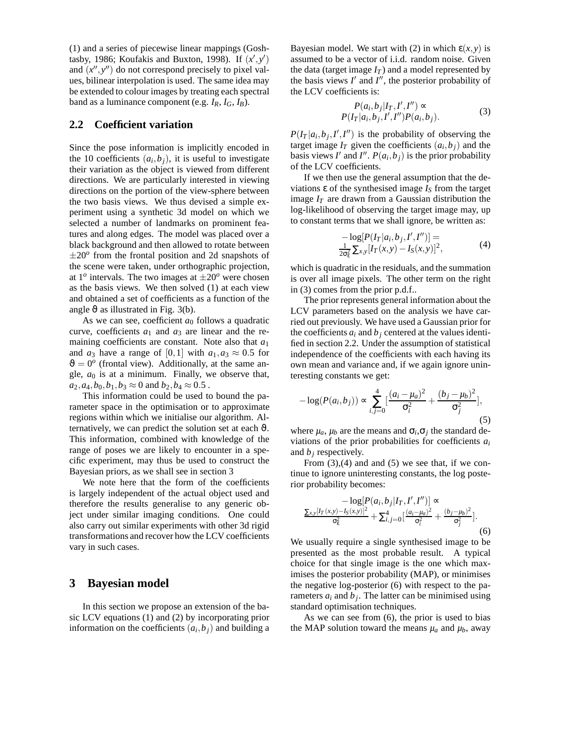(1) and a series of piecewise linear mappings (Goshtasby, 1986; Koufakis and Buxton, 1998). If  $(x', y')$ and  $(x'', y'')$  do not correspond precisely to pixel values, bilinear interpolation is used. The same idea may be extended to colour images by treating each spectral band as a luminance component (e.g.  $I_R$ ,  $I_G$ ,  $I_B$ ).

#### **2.2 Coefficient variation**

Since the pose information is implicitly encoded in the 10 coefficients  $(a_i, b_j)$ , it is useful to investigate their variation as the object is viewed from different directions. We are particularly interested in viewing directions on the portion of the view-sphere between the two basis views. We thus devised a simple experiment using a synthetic 3d model on which we selected a number of landmarks on prominent features and along edges. The model was placed over a black background and then allowed to rotate between  $\pm 20^\circ$  from the frontal position and 2d snapshots of the scene were taken, under orthographic projection, at  $1^o$  intervals. The two images at  $\pm 20^o$  were chosen as the basis views. We then solved (1) at each view and obtained a set of coefficients as a function of the angle  $\vartheta$  as illustrated in Fig. 3(b).

As we can see, coefficient  $a_0$  follows a quadratic curve, coefficients *a*<sup>1</sup> and *a*<sup>3</sup> are linear and the remaining coefficients are constant. Note also that *a*<sup>1</sup> and  $a_3$  have a range of [0,1] with  $a_1, a_3 \approx 0.5$  for  $\vartheta = 0^{\circ}$  (frontal view). Additionally, at the same angle,  $a_0$  is at a minimum. Finally, we observe that,  $a_2$ ,  $a_4$ ,  $b_0$ ,  $b_1$ ,  $b_3 \approx 0$  and  $b_2$ ,  $b_4 \approx 0.5$ .

This information could be used to bound the parameter space in the optimisation or to approximate regions within which we initialise our algorithm. Alternatively, we can predict the solution set at each  $\vartheta$ . This information, combined with knowledge of the range of poses we are likely to encounter in a specific experiment, may thus be used to construct the Bayesian priors, as we shall see in section 3

We note here that the form of the coefficients is largely independent of the actual object used and therefore the results generalise to any generic object under similar imaging conditions. One could also carry out similar experiments with other 3d rigid transformations and recover how the LCV coefficients vary in such cases.

#### **3 Bayesian model**

In this section we propose an extension of the basic LCV equations (1) and (2) by incorporating prior information on the coefficients  $(a_i, b_j)$  and building a

Bayesian model. We start with (2) in which  $\varepsilon(x, y)$  is assumed to be a vector of i.i.d. random noise. Given the data (target image  $I_T$ ) and a model represented by the basis views  $I'$  and  $I''$ , the posterior probability of the LCV coefficients is:

$$
P(a_i, b_j | I_T, I', I'') \propto P(I_T | a_i, b_j, I', I'') P(a_i, b_j).
$$
\n(3)

 $P(I_T | a_i, b_j, I', I'')$  is the probability of observing the target image  $I_T$  given the coefficients  $(a_i, b_j)$  and the basis views *I'* and *I''*.  $P(a_i, b_j)$  is the prior probability of the LCV coefficients.

If we then use the general assumption that the deviations ε of the synthesised image *I<sup>S</sup>* from the target image  $I_T$  are drawn from a Gaussian distribution the log-likelihood of observing the target image may, up to constant terms that we shall ignore, be written as:

$$
-\log[P(I_T|a_i, b_j, I', I'')] =
$$
  

$$
\frac{1}{2\sigma_{\epsilon}^2} \sum_{x,y} [I_T(x,y) - I_S(x,y)]^2,
$$
 (4)

which is quadratic in the residuals, and the summation is over all image pixels. The other term on the right in (3) comes from the prior p.d.f..

The prior represents general information about the LCV parameters based on the analysis we have carried out previously. We have used a Gaussian prior for the coefficients  $a_i$  and  $b_j$  centered at the values identified in section 2.2. Under the assumption of statistical independence of the coefficients with each having its own mean and variance and, if we again ignore uninteresting constants we get:

$$
-\log(P(a_i, b_j)) \propto \sum_{i,j=0}^{4} \left[ \frac{(a_i - \mu_a)^2}{\sigma_i^2} + \frac{(b_j - \mu_b)^2}{\sigma_j^2} \right],
$$
\n(5)

where  $\mu_a$ ,  $\mu_b$  are the means and  $\sigma_i$ ,  $\sigma_j$  the standard deviations of the prior probabilities for coefficients *a<sup>i</sup>* and *b<sup>j</sup>* respectively.

From  $(3)$ , $(4)$  and and  $(5)$  we see that, if we continue to ignore uninteresting constants, the log posterior probability becomes:

$$
\frac{-\log[P(a_i, b_j|I_T, I', I'')]}{\sigma_{\epsilon}^2} \approx \frac{\sum_{x,y}[I_T(x,y)-I_S(x,y)]^2}{\sigma_{\epsilon}^2} + \sum_{i,j=0}^{4} \left[\frac{(a_i-\mu_a)^2}{\sigma_i^2} + \frac{(b_j-\mu_b)^2}{\sigma_j^2}\right].
$$
\n(6)

We usually require a single synthesised image to be presented as the most probable result. A typical choice for that single image is the one which maximises the posterior probability (MAP), or minimises the negative log-posterior (6) with respect to the parameters  $a_i$  and  $b_j$ . The latter can be minimised using standard optimisation techniques.

As we can see from (6), the prior is used to bias the MAP solution toward the means  $\mu_a$  and  $\mu_b$ , away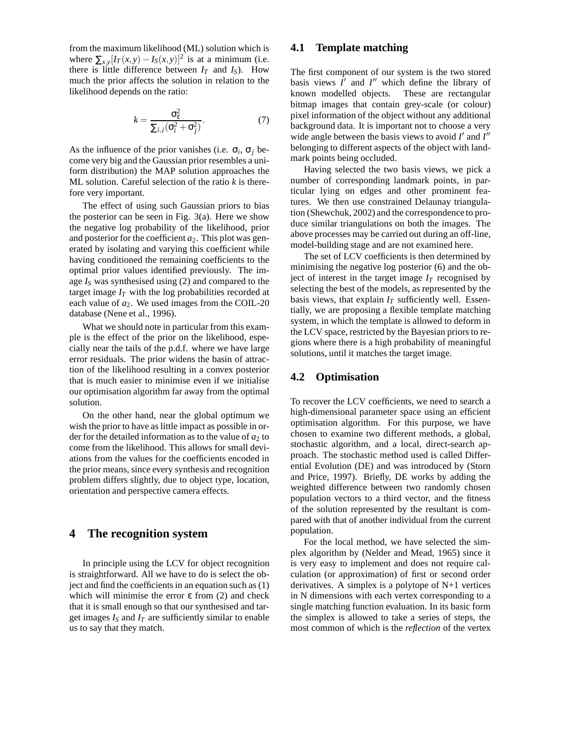from the maximum likelihood (ML) solution which is where  $\sum_{x,y} [I_T(x,y) - I_S(x,y)]^2$  is at a minimum (i.e. there is little difference between  $I_T$  and  $I_S$ ). How much the prior affects the solution in relation to the likelihood depends on the ratio:

$$
k = \frac{\sigma_{\varepsilon}^2}{\sum_{i,j} (\sigma_i^2 + \sigma_j^2)}.
$$
 (7)

As the influence of the prior vanishes (i.e.  $\sigma_i$ ,  $\sigma_j$  become very big and the Gaussian prior resembles a uniform distribution) the MAP solution approaches the ML solution. Careful selection of the ratio *k* is therefore very important.

The effect of using such Gaussian priors to bias the posterior can be seen in Fig. 3(a). Here we show the negative log probability of the likelihood, prior and posterior for the coefficient  $a_2$ . This plot was generated by isolating and varying this coefficient while having conditioned the remaining coefficients to the optimal prior values identified previously. The image *I<sup>S</sup>* was synthesised using (2) and compared to the target image  $I_T$  with the log probabilities recorded at each value of *a*2. We used images from the COIL-20 database (Nene et al., 1996).

What we should note in particular from this example is the effect of the prior on the likelihood, especially near the tails of the p.d.f. where we have large error residuals. The prior widens the basin of attraction of the likelihood resulting in a convex posterior that is much easier to minimise even if we initialise our optimisation algorithm far away from the optimal solution.

On the other hand, near the global optimum we wish the prior to have as little impact as possible in order for the detailed information as to the value of  $a_2$  to come from the likelihood. This allows for small deviations from the values for the coefficients encoded in the prior means, since every synthesis and recognition problem differs slightly, due to object type, location, orientation and perspective camera effects.

## **4 The recognition system**

In principle using the LCV for object recognition is straightforward. All we have to do is select the object and find the coefficients in an equation such as (1) which will minimise the error  $ε$  from (2) and check that it is small enough so that our synthesised and target images  $I<sub>S</sub>$  and  $I<sub>T</sub>$  are sufficiently similar to enable us to say that they match.

#### **4.1 Template matching**

The first component of our system is the two stored basis views  $I'$  and  $I''$  which define the library of known modelled objects. These are rectangular bitmap images that contain grey-scale (or colour) pixel information of the object without any additional background data. It is important not to choose a very wide angle between the basis views to avoid  $I'$  and  $I''$ belonging to different aspects of the object with landmark points being occluded.

Having selected the two basis views, we pick a number of corresponding landmark points, in particular lying on edges and other prominent features. We then use constrained Delaunay triangulation (Shewchuk, 2002) and the correspondence to produce similar triangulations on both the images. The above processes may be carried out during an off-line, model-building stage and are not examined here.

The set of LCV coefficients is then determined by minimising the negative log posterior (6) and the object of interest in the target image  $I_T$  recognised by selecting the best of the models, as represented by the basis views, that explain  $I_T$  sufficiently well. Essentially, we are proposing a flexible template matching system, in which the template is allowed to deform in the LCV space, restricted by the Bayesian priors to regions where there is a high probability of meaningful solutions, until it matches the target image.

#### **4.2 Optimisation**

To recover the LCV coefficients, we need to search a high-dimensional parameter space using an efficient optimisation algorithm. For this purpose, we have chosen to examine two different methods, a global, stochastic algorithm, and a local, direct-search approach. The stochastic method used is called Differential Evolution (DE) and was introduced by (Storn and Price, 1997). Briefly, DE works by adding the weighted difference between two randomly chosen population vectors to a third vector, and the fitness of the solution represented by the resultant is compared with that of another individual from the current population.

For the local method, we have selected the simplex algorithm by (Nelder and Mead, 1965) since it is very easy to implement and does not require calculation (or approximation) of first or second order derivatives. A simplex is a polytope of N+1 vertices in N dimensions with each vertex corresponding to a single matching function evaluation. In its basic form the simplex is allowed to take a series of steps, the most common of which is the *reflection* of the vertex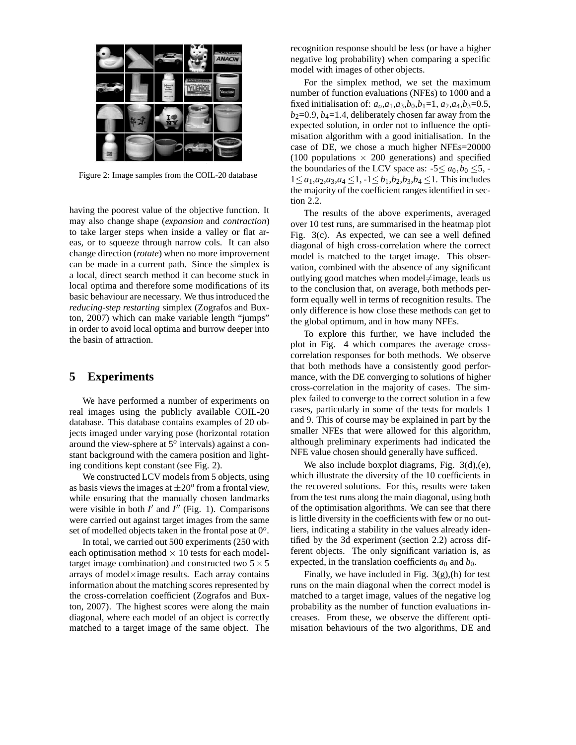

Figure 2: Image samples from the COIL-20 database

having the poorest value of the objective function. It may also change shape (*expansion* and *contraction*) to take larger steps when inside a valley or flat areas, or to squeeze through narrow cols. It can also change direction (*rotate*) when no more improvement can be made in a current path. Since the simplex is a local, direct search method it can become stuck in local optima and therefore some modifications of its basic behaviour are necessary. We thus introduced the *reducing-step restarting* simplex (Zografos and Buxton, 2007) which can make variable length "jumps" in order to avoid local optima and burrow deeper into the basin of attraction.

## **5 Experiments**

We have performed a number of experiments on real images using the publicly available COIL-20 database. This database contains examples of 20 objects imaged under varying pose (horizontal rotation around the view-sphere at 5*<sup>o</sup>* intervals) against a constant background with the camera position and lighting conditions kept constant (see Fig. 2).

We constructed LCV models from 5 objects, using as basis views the images at  $\pm 20^{\circ}$  from a frontal view, while ensuring that the manually chosen landmarks were visible in both  $I'$  and  $I''$  (Fig. 1). Comparisons were carried out against target images from the same set of modelled objects taken in the frontal pose at 0*<sup>o</sup>* .

In total, we carried out 500 experiments (250 with each optimisation method  $\times$  10 tests for each modeltarget image combination) and constructed two  $5 \times 5$ arrays of model×image results. Each array contains information about the matching scores represented by the cross-correlation coefficient (Zografos and Buxton, 2007). The highest scores were along the main diagonal, where each model of an object is correctly matched to a target image of the same object. The recognition response should be less (or have a higher negative log probability) when comparing a specific model with images of other objects.

For the simplex method, we set the maximum number of function evaluations (NFEs) to 1000 and a fixed initialisation of:  $a_0$ , $a_1$ , $a_3$ , $b_0$ , $b_1$ =1,  $a_2$ , $a_4$ , $b_3$ =0.5,  $b_2=0.9$ ,  $b_4=1.4$ , deliberately chosen far away from the expected solution, in order not to influence the optimisation algorithm with a good initialisation. In the case of DE, we chose a much higher NFEs=20000 (100 populations  $\times$  200 generations) and specified the boundaries of the LCV space as:  $-5 \le a_0, b_0 \le 5$ , -1≤ *a*<sub>1</sub>,*a*<sub>2</sub>,*a*<sub>3</sub>,*a*<sub>4</sub> ≤1, -1≤ *b*<sub>1</sub>,*b*<sub>2</sub>,*b*<sub>3</sub>,*b*<sub>4</sub> ≤1. This includes the majority of the coefficient ranges identified in section 2.2.

The results of the above experiments, averaged over 10 test runs, are summarised in the heatmap plot Fig. 3(c). As expected, we can see a well defined diagonal of high cross-correlation where the correct model is matched to the target image. This observation, combined with the absence of any significant outlying good matches when model $\neq$ image, leads us to the conclusion that, on average, both methods perform equally well in terms of recognition results. The only difference is how close these methods can get to the global optimum, and in how many NFEs.

To explore this further, we have included the plot in Fig. 4 which compares the average crosscorrelation responses for both methods. We observe that both methods have a consistently good performance, with the DE converging to solutions of higher cross-correlation in the majority of cases. The simplex failed to converge to the correct solution in a few cases, particularly in some of the tests for models 1 and 9. This of course may be explained in part by the smaller NFEs that were allowed for this algorithm, although preliminary experiments had indicated the NFE value chosen should generally have sufficed.

We also include boxplot diagrams, Fig.  $3(d)$ ,(e), which illustrate the diversity of the 10 coefficients in the recovered solutions. For this, results were taken from the test runs along the main diagonal, using both of the optimisation algorithms. We can see that there is little diversity in the coefficients with few or no outliers, indicating a stability in the values already identified by the 3d experiment (section 2.2) across different objects. The only significant variation is, as expected, in the translation coefficients  $a_0$  and  $b_0$ .

Finally, we have included in Fig. 3(g),(h) for test runs on the main diagonal when the correct model is matched to a target image, values of the negative log probability as the number of function evaluations increases. From these, we observe the different optimisation behaviours of the two algorithms, DE and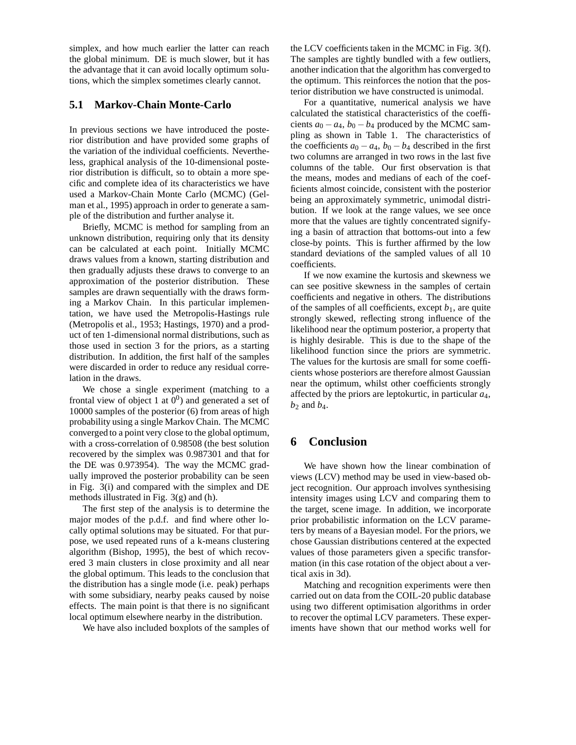simplex, and how much earlier the latter can reach the global minimum. DE is much slower, but it has the advantage that it can avoid locally optimum solutions, which the simplex sometimes clearly cannot.

#### **5.1 Markov-Chain Monte-Carlo**

In previous sections we have introduced the posterior distribution and have provided some graphs of the variation of the individual coefficients. Nevertheless, graphical analysis of the 10-dimensional posterior distribution is difficult, so to obtain a more specific and complete idea of its characteristics we have used a Markov-Chain Monte Carlo (MCMC) (Gelman et al., 1995) approach in order to generate a sample of the distribution and further analyse it.

Briefly, MCMC is method for sampling from an unknown distribution, requiring only that its density can be calculated at each point. Initially MCMC draws values from a known, starting distribution and then gradually adjusts these draws to converge to an approximation of the posterior distribution. These samples are drawn sequentially with the draws forming a Markov Chain. In this particular implementation, we have used the Metropolis-Hastings rule (Metropolis et al., 1953; Hastings, 1970) and a product of ten 1-dimensional normal distributions, such as those used in section 3 for the priors, as a starting distribution. In addition, the first half of the samples were discarded in order to reduce any residual correlation in the draws.

We chose a single experiment (matching to a frontal view of object 1 at  $0^0$ ) and generated a set of 10000 samples of the posterior (6) from areas of high probability using a single Markov Chain. The MCMC converged to a point very close to the global optimum, with a cross-correlation of 0.98508 (the best solution recovered by the simplex was 0.987301 and that for the DE was 0.973954). The way the MCMC gradually improved the posterior probability can be seen in Fig. 3(i) and compared with the simplex and DE methods illustrated in Fig. 3(g) and (h).

The first step of the analysis is to determine the major modes of the p.d.f. and find where other locally optimal solutions may be situated. For that purpose, we used repeated runs of a k-means clustering algorithm (Bishop, 1995), the best of which recovered 3 main clusters in close proximity and all near the global optimum. This leads to the conclusion that the distribution has a single mode (i.e. peak) perhaps with some subsidiary, nearby peaks caused by noise effects. The main point is that there is no significant local optimum elsewhere nearby in the distribution.

We have also included boxplots of the samples of

the LCV coefficients taken in the MCMC in Fig. 3(f). The samples are tightly bundled with a few outliers, another indication that the algorithm has converged to the optimum. This reinforces the notion that the posterior distribution we have constructed is unimodal.

For a quantitative, numerical analysis we have calculated the statistical characteristics of the coefficients  $a_0 - a_4$ ,  $b_0 - b_4$  produced by the MCMC sampling as shown in Table 1. The characteristics of the coefficients  $a_0 - a_4$ ,  $b_0 - b_4$  described in the first two columns are arranged in two rows in the last five columns of the table. Our first observation is that the means, modes and medians of each of the coefficients almost coincide, consistent with the posterior being an approximately symmetric, unimodal distribution. If we look at the range values, we see once more that the values are tightly concentrated signifying a basin of attraction that bottoms-out into a few close-by points. This is further affirmed by the low standard deviations of the sampled values of all 10 coefficients.

If we now examine the kurtosis and skewness we can see positive skewness in the samples of certain coefficients and negative in others. The distributions of the samples of all coefficients, except  $b_1$ , are quite strongly skewed, reflecting strong influence of the likelihood near the optimum posterior, a property that is highly desirable. This is due to the shape of the likelihood function since the priors are symmetric. The values for the kurtosis are small for some coefficients whose posteriors are therefore almost Gaussian near the optimum, whilst other coefficients strongly affected by the priors are leptokurtic, in particular *a*4, *b*<sup>2</sup> and *b*4.

## **6 Conclusion**

We have shown how the linear combination of views (LCV) method may be used in view-based object recognition. Our approach involves synthesising intensity images using LCV and comparing them to the target, scene image. In addition, we incorporate prior probabilistic information on the LCV parameters by means of a Bayesian model. For the priors, we chose Gaussian distributions centered at the expected values of those parameters given a specific transformation (in this case rotation of the object about a vertical axis in 3d).

Matching and recognition experiments were then carried out on data from the COIL-20 public database using two different optimisation algorithms in order to recover the optimal LCV parameters. These experiments have shown that our method works well for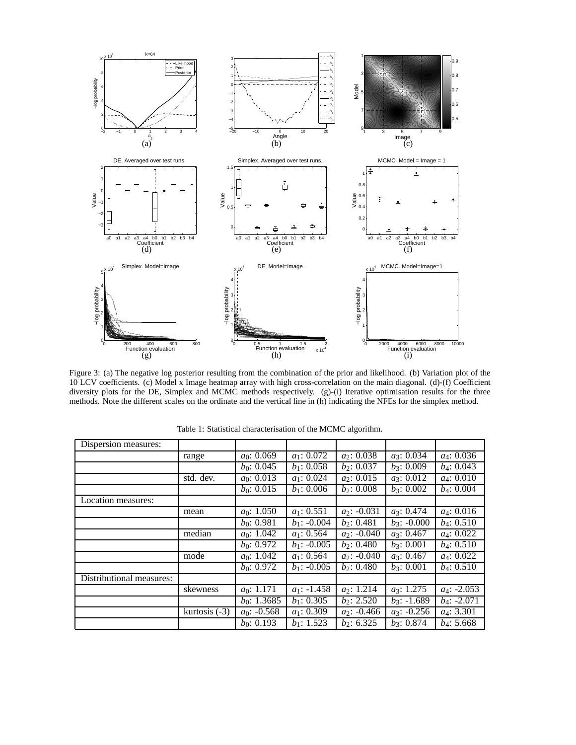

Figure 3: (a) The negative log posterior resulting from the combination of the prior and likelihood. (b) Variation plot of the 10 LCV coefficients. (c) Model x Image heatmap array with high cross-correlation on the main diagonal. (d)-(f) Coefficient diversity plots for the DE, Simplex and MCMC methods respectively. (g)-(i) Iterative optimisation results for the three methods. Note the different scales on the ordinate and the vertical line in (h) indicating the NFEs for the simplex method.

| Dispersion measures:     |                            |                |                         |                |                         |                        |
|--------------------------|----------------------------|----------------|-------------------------|----------------|-------------------------|------------------------|
|                          | range                      | $a_0$ : 0.069  | $\overline{a_1: 0.072}$ | $a_2$ : 0.038  | $\overline{a_3: 0.034}$ | $a_4$ : 0.036          |
|                          |                            | $b_0$ : 0.045  | $\overline{b_1: 0.058}$ | $b_2$ : 0.037  | $b_3$ : 0.009           | $b_4$ : 0.043          |
|                          | std. dev.                  | $a_0$ : 0.013  | $a_1$ : 0.024           | $a_2$ : 0.015  | $a_3$ : 0.012           | $a_4$ : 0.010          |
|                          |                            | $b_0$ : 0.015  | $b_1$ : 0.006           | $b_2$ : 0.008  | $b_3$ : 0.002           | $b_4$ : 0.004          |
| Location measures:       |                            |                |                         |                |                         |                        |
|                          | mean                       | $a_0$ : 1.050  | $a_1$ : 0.551           | $a_2$ : -0.031 | $a_3$ : 0.474           | $a_4$ : 0.016          |
|                          |                            | $b_0$ : 0.981  | $b_1$ : -0.004          | $b_2$ : 0.481  | $b_3$ : -0.000          | $b_4$ : 0.510          |
|                          | median                     | $a_0$ : 1.042  | $a_1$ : 0.564           | $a_2$ : -0.040 | $a_3$ : 0.467           | $a_4$ : 0.022          |
|                          |                            | $b_0$ : 0.972  | $b_1$ : -0.005          | $b_2$ : 0.480  | $b_3$ : 0.001           | $b_4$ : 0.510          |
|                          | mode                       | $a_0$ : 1.042  | $a_1$ : 0.564           | $a_2$ : -0.040 | $a_3$ : 0.467           | $a_4$ : 0.022          |
|                          |                            | $b_0$ : 0.972  | $b_1$ : -0.005          | $b_2$ : 0.480  | $b_3$ : 0.001           | $b_4$ : 0.510          |
| Distributional measures: |                            |                |                         |                |                         |                        |
|                          | skewness                   | $a_0$ : 1.171  | $a_1$ : -1.458          | $a_2$ : 1.214  | $a_3$ : 1.275           | $a_4$ : -2.053         |
|                          |                            | $b_0$ : 1.3685 | $b_1$ : 0.305           | $b_2$ : 2.520  | $b_3$ : -1.689          | $b_4$ : -2.071         |
|                          | $\overline{kurtosis}$ (-3) | $a_0$ : -0.568 | $a_1$ : 0.309           | $a_2$ : -0.466 | $a_3$ : -0.256          | a <sub>4</sub> : 3.301 |
|                          |                            | $b_0$ : 0.193  | $b_1$ : 1.523           | $b_2$ : 6.325  | $b_3$ : 0.874           | $b_4$ : 5.668          |

Table 1: Statistical characterisation of the MCMC algorithm.